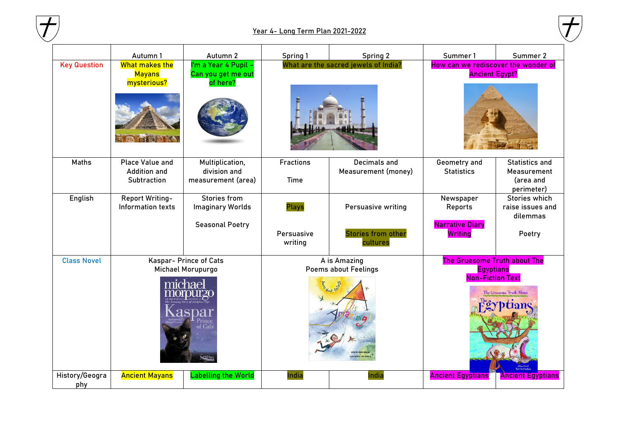

## **Year 4- Long Term Plan 2021-2022**



|                       | Autumn 1                                                            | Autumn 2                                                                 | Spring 1                                    | Spring 2                                                    | Summer 1                                                                                                          | Summer 2                                                        |  |
|-----------------------|---------------------------------------------------------------------|--------------------------------------------------------------------------|---------------------------------------------|-------------------------------------------------------------|-------------------------------------------------------------------------------------------------------------------|-----------------------------------------------------------------|--|
| <b>Key Question</b>   | What makes the<br><b>Mayans</b><br>mysterious?                      | I'm a Year 4 Pupil -<br>Can you get me out<br>of here?                   | What are the sacred jewels of India?        |                                                             |                                                                                                                   | How can we rediscover the wonder of<br><b>Ancient Egypt?</b>    |  |
| Maths                 | <b>Place Value and</b><br><b>Addition and</b><br>Subtraction        | Multiplication,<br>division and<br>measurement (area)                    | <b>Fractions</b><br><b>Time</b>             | <b>Decimals and</b><br>Measurement (money)                  | Geometry and<br><b>Statistics</b>                                                                                 | <b>Statistics and</b><br>Measurement<br>(area and<br>perimeter) |  |
| English               | Report Writing-<br>Information texts                                | <b>Stories from</b><br><b>Imaginary Worlds</b><br><b>Seasonal Poetry</b> | <b>Plays</b><br>Persuasive<br>writing       | Persuasive writing<br><b>Stories from other</b><br>cultures | Newspaper<br>Reports<br><b>Narrative Diary</b><br><b>Writing</b>                                                  | Stories which<br>raise issues and<br>dilemmas<br>Poetry         |  |
| <b>Class Novel</b>    | Kaspar- Prince of Cats<br>Michael Morupurgo<br><b>REAL PROPERTY</b> |                                                                          | A is Amazing<br><b>Poems about Feelings</b> |                                                             | The Gruesome Truth about The<br><b>Egyptians</b><br><b>Non-Fiction Text</b><br>The Gruesome Truth About<br>ptians |                                                                 |  |
| History/Geogra<br>phy | <b>Ancient Mayans</b>                                               | <b>Labelling the World</b>                                               | India                                       | India                                                       | <b>Ancient Egyptians</b>                                                                                          | <b>Ancient Egyptians</b>                                        |  |